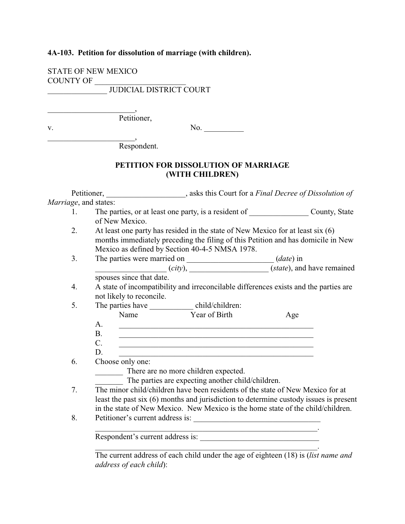## **4A-103. Petition for dissolution of marriage (with children).**

STATE OF NEW MEXICO COUNTY OF

\_\_\_\_\_\_\_\_\_\_\_\_\_\_\_\_\_\_\_\_\_\_,

\_\_\_\_\_\_\_\_\_\_\_\_\_\_\_\_\_\_\_\_\_\_,

\_\_\_\_\_\_\_\_\_\_\_\_\_\_\_ JUDICIAL DISTRICT COURT

Petitioner,

v. No.

Respondent.

## **PETITION FOR DISSOLUTION OF MARRIAGE (WITH CHILDREN)**

Petitioner, \_\_\_\_\_\_\_\_\_\_\_\_\_\_\_\_\_\_\_\_, asks this Court for a *Final Decree of Dissolution of Marriage*, and states: 1. The parties, or at least one party, is a resident of County, State of New Mexico. 2. At least one party has resided in the state of New Mexico for at least six (6) months immediately preceding the filing of this Petition and has domicile in New Mexico as defined by Section 40-4-5 NMSA 1978. 3. The parties were married on \_\_\_\_\_\_\_\_\_\_\_\_\_\_\_\_\_\_\_\_\_\_ (*date*) in \_\_\_\_\_\_\_\_\_\_\_\_\_\_\_\_\_\_ (*city*), \_\_\_\_\_\_\_\_\_\_\_\_\_\_\_\_\_\_\_\_ (*state*), and have remained spouses since that date. 4. A state of incompatibility and irreconcilable differences exists and the parties are not likely to reconcile. 5. The parties have <u>equal</u> child/children: Name Year of Birth Age A. \_\_\_\_\_\_\_\_\_\_\_\_\_\_\_\_\_\_\_\_\_\_\_\_\_\_\_\_\_\_\_\_\_\_\_\_\_\_\_\_\_\_\_\_\_\_\_\_\_  $B.$ C. \_\_\_\_\_\_\_\_\_\_\_\_\_\_\_\_\_\_\_\_\_\_\_\_\_\_\_\_\_\_\_\_\_\_\_\_\_\_\_\_\_\_\_\_\_\_\_\_\_ D. \_\_\_\_\_\_\_\_\_\_\_\_\_\_\_\_\_\_\_\_\_\_\_\_\_\_\_\_\_\_\_\_\_\_\_\_\_\_\_\_\_\_\_\_\_\_\_\_\_ 6. Choose only one: There are no more children expected. The parties are expecting another child/children. 7. The minor child/children have been residents of the state of New Mexico for at least the past six (6) months and jurisdiction to determine custody issues is present in the state of New Mexico. New Mexico is the home state of the child/children. 8. Petitioner's current address is: \_\_\_\_\_\_\_\_\_\_\_\_\_\_\_\_\_\_\_\_\_\_\_\_\_\_\_\_\_\_\_\_\_\_\_\_\_\_\_\_\_\_\_\_\_\_\_\_\_\_\_\_\_\_\_\_. Respondent's current address is: \_\_\_\_\_\_\_\_\_\_\_\_\_\_\_\_\_\_\_\_\_\_\_\_\_\_\_\_\_\_ \_\_\_\_\_\_\_\_\_\_\_\_\_\_\_\_\_\_\_\_\_\_\_\_\_\_\_\_\_\_\_\_\_\_\_\_\_\_\_\_\_\_\_\_\_\_\_\_\_\_\_\_\_\_\_\_.

The current address of each child under the age of eighteen (18) is (*list name and address of each child*):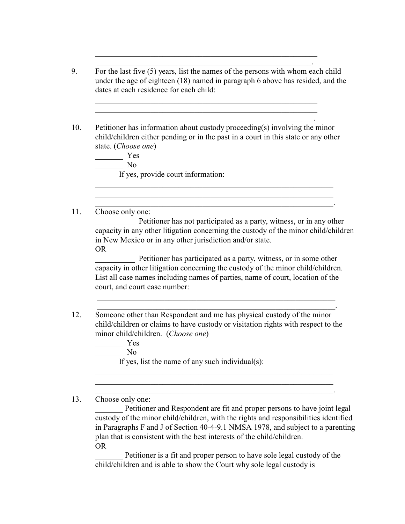9. For the last five (5) years, list the names of the persons with whom each child under the age of eighteen (18) named in paragraph 6 above has resided, and the dates at each residence for each child:

\_\_\_\_\_\_\_\_\_\_\_\_\_\_\_\_\_\_\_\_\_\_\_\_\_\_\_\_\_\_\_\_\_\_\_\_\_\_\_\_\_\_\_\_\_\_\_\_\_\_\_\_\_\_\_\_ \_\_\_\_\_\_\_\_\_\_\_\_\_\_\_\_\_\_\_\_\_\_\_\_\_\_\_\_\_\_\_\_\_\_\_\_\_\_\_\_\_\_\_\_\_\_\_\_\_\_\_\_\_\_\_\_

\_\_\_\_\_\_\_\_\_\_\_\_\_\_\_\_\_\_\_\_\_\_\_\_\_\_\_\_\_\_\_\_\_\_\_\_\_\_\_\_\_\_\_\_\_\_\_\_\_\_\_\_\_\_\_\_ \_\_\_\_\_\_\_\_\_\_\_\_\_\_\_\_\_\_\_\_\_\_\_\_\_\_\_\_\_\_\_\_\_\_\_\_\_\_\_\_\_\_\_\_\_\_\_\_\_\_\_\_\_\_.

\_\_\_\_\_\_\_\_\_\_\_\_\_\_\_\_\_\_\_\_\_\_\_\_\_\_\_\_\_\_\_\_\_\_\_\_\_\_\_\_\_\_\_\_\_\_\_\_\_\_\_\_\_\_\_. 10. Petitioner has information about custody proceeding(s) involving the minor child/children either pending or in the past in a court in this state or any other state. (*Choose one*)

\_\_\_\_\_\_\_\_\_\_\_\_\_\_\_\_\_\_\_\_\_\_\_\_\_\_\_\_\_\_\_\_\_\_\_\_\_\_\_\_\_\_\_\_\_\_\_\_\_\_\_\_\_\_\_\_\_\_\_\_ \_\_\_\_\_\_\_\_\_\_\_\_\_\_\_\_\_\_\_\_\_\_\_\_\_\_\_\_\_\_\_\_\_\_\_\_\_\_\_\_\_\_\_\_\_\_\_\_\_\_\_\_\_\_\_\_\_\_\_\_ \_\_\_\_\_\_\_\_\_\_\_\_\_\_\_\_\_\_\_\_\_\_\_\_\_\_\_\_\_\_\_\_\_\_\_\_\_\_\_\_\_\_\_\_\_\_\_\_\_\_\_\_\_\_\_\_\_\_\_\_.

\_\_\_\_\_\_\_ Yes  $\sim$  No If yes, provide court information:

11. Choose only one:

Petitioner has not participated as a party, witness, or in any other capacity in any other litigation concerning the custody of the minor child/children in New Mexico or in any other jurisdiction and/or state. OR

Petitioner has participated as a party, witness, or in some other capacity in other litigation concerning the custody of the minor child/children. List all case names including names of parties, name of court, location of the court, and court case number:

 $\overline{\phantom{a}}$  , and the contribution of the contribution of the contribution of the contribution of the contribution of the contribution of the contribution of the contribution of the contribution of the contribution of the \_\_\_\_\_\_\_\_\_\_\_\_\_\_\_\_\_\_\_\_\_\_\_\_\_\_\_\_\_\_\_\_\_\_\_\_\_\_\_\_\_\_\_\_\_\_\_\_\_\_\_\_\_\_\_\_\_\_\_\_.

\_\_\_\_\_\_\_\_\_\_\_\_\_\_\_\_\_\_\_\_\_\_\_\_\_\_\_\_\_\_\_\_\_\_\_\_\_\_\_\_\_\_\_\_\_\_\_\_\_\_\_\_\_\_\_\_\_\_\_\_ \_\_\_\_\_\_\_\_\_\_\_\_\_\_\_\_\_\_\_\_\_\_\_\_\_\_\_\_\_\_\_\_\_\_\_\_\_\_\_\_\_\_\_\_\_\_\_\_\_\_\_\_\_\_\_\_\_\_\_\_ \_\_\_\_\_\_\_\_\_\_\_\_\_\_\_\_\_\_\_\_\_\_\_\_\_\_\_\_\_\_\_\_\_\_\_\_\_\_\_\_\_\_\_\_\_\_\_\_\_\_\_\_\_\_\_\_\_\_\_\_.

12. Someone other than Respondent and me has physical custody of the minor child/children or claims to have custody or visitation rights with respect to the minor child/children. (*Choose one*)

 $-$  Yes

 $\overline{\phantom{a}}$  No

If yes, list the name of any such individual(s):

13. Choose only one:

Petitioner and Respondent are fit and proper persons to have joint legal custody of the minor child/children, with the rights and responsibilities identified in Paragraphs F and J of Section 40-4-9.1 NMSA 1978, and subject to a parenting plan that is consistent with the best interests of the child/children. OR

Petitioner is a fit and proper person to have sole legal custody of the child/children and is able to show the Court why sole legal custody is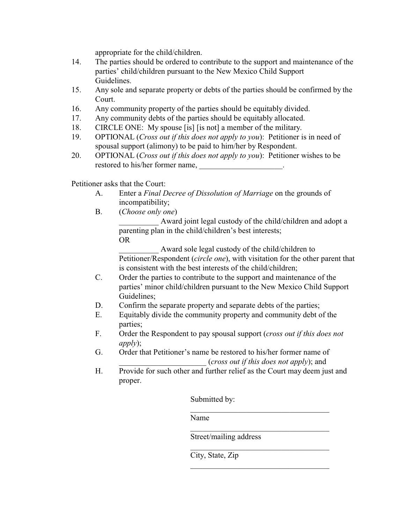appropriate for the child/children.

- 14. The parties should be ordered to contribute to the support and maintenance of the parties' child/children pursuant to the New Mexico Child Support Guidelines.
- 15. Any sole and separate property or debts of the parties should be confirmed by the Court.
- 16. Any community property of the parties should be equitably divided.
- 17. Any community debts of the parties should be equitably allocated.
- 18. CIRCLE ONE: My spouse [is] [is not] a member of the military.
- 19. OPTIONAL (*Cross out if this does not apply to you*): Petitioner is in need of spousal support (alimony) to be paid to him/her by Respondent.
- 20. OPTIONAL (*Cross out if this does not apply to you*): Petitioner wishes to be restored to his/her former name,

Petitioner asks that the Court:

- A. Enter a *Final Decree of Dissolution of Marriage* on the grounds of incompatibility;
- B. (*Choose only one*)

Award joint legal custody of the child/children and adopt a parenting plan in the child/children's best interests; OR

Award sole legal custody of the child/children to Petitioner/Respondent (*circle one*), with visitation for the other parent that is consistent with the best interests of the child/children;

- C. Order the parties to contribute to the support and maintenance of the parties' minor child/children pursuant to the New Mexico Child Support Guidelines;
- D. Confirm the separate property and separate debts of the parties;
- E. Equitably divide the community property and community debt of the parties;
- F. Order the Respondent to pay spousal support (*cross out if this does not apply*);
- G. Order that Petitioner's name be restored to his/her former name of \_\_\_\_\_\_\_\_\_\_\_\_\_\_\_\_\_\_\_\_\_\_ (*cross out if this does not apply*); and
- H. Provide for such other and further relief as the Court may deem just and proper.

Submitted by:

Name

Street/mailing address

 $\mathcal{L}_\mathcal{L}$  , which is a set of the set of the set of the set of the set of the set of the set of the set of the set of the set of the set of the set of the set of the set of the set of the set of the set of the set of

 $\_$  . The set of the set of the set of the set of the set of the set of the set of the set of the set of the set of the set of the set of the set of the set of the set of the set of the set of the set of the set of the se

 $\mathcal{L}_\mathcal{L}$  , which is a set of the set of the set of the set of the set of the set of the set of the set of the set of the set of the set of the set of the set of the set of the set of the set of the set of the set of

 $\mathcal{L}_\mathcal{L}$  , which is a set of the set of the set of the set of the set of the set of the set of the set of the set of the set of the set of the set of the set of the set of the set of the set of the set of the set of

City, State, Zip